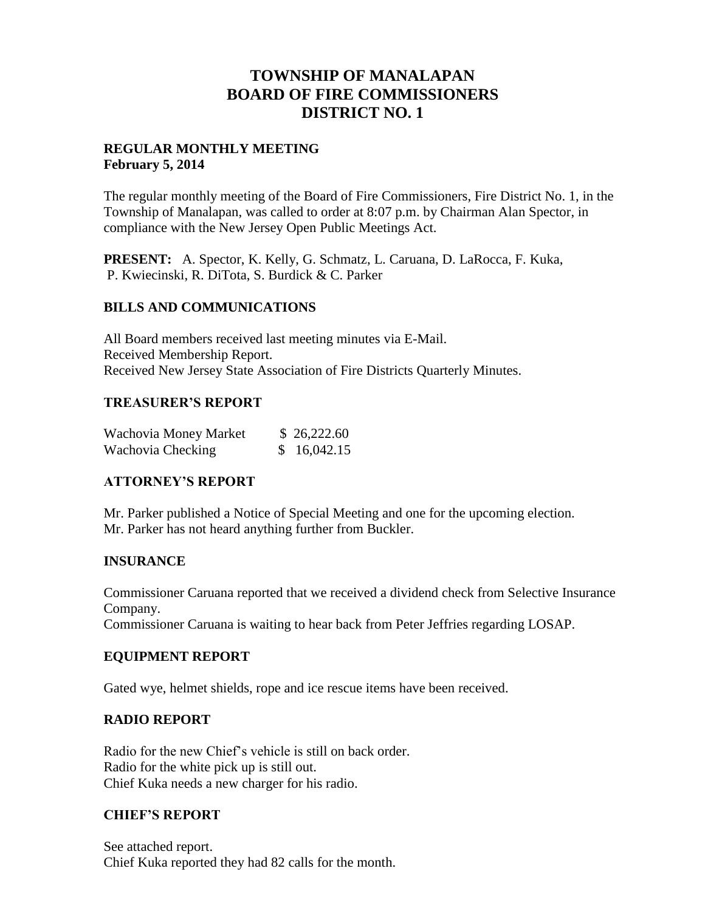## **TOWNSHIP OF MANALAPAN BOARD OF FIRE COMMISSIONERS DISTRICT NO. 1**

### **REGULAR MONTHLY MEETING February 5, 2014**

The regular monthly meeting of the Board of Fire Commissioners, Fire District No. 1, in the Township of Manalapan, was called to order at 8:07 p.m. by Chairman Alan Spector, in compliance with the New Jersey Open Public Meetings Act.

**PRESENT:** A. Spector, K. Kelly, G. Schmatz, L. Caruana, D. LaRocca, F. Kuka, P. Kwiecinski, R. DiTota, S. Burdick & C. Parker

### **BILLS AND COMMUNICATIONS**

All Board members received last meeting minutes via E-Mail. Received Membership Report. Received New Jersey State Association of Fire Districts Quarterly Minutes.

### **TREASURER'S REPORT**

| Wachovia Money Market | \$26,222.60 |
|-----------------------|-------------|
| Wachovia Checking     | \$16,042.15 |

## **ATTORNEY'S REPORT**

Mr. Parker published a Notice of Special Meeting and one for the upcoming election. Mr. Parker has not heard anything further from Buckler.

## **INSURANCE**

Commissioner Caruana reported that we received a dividend check from Selective Insurance Company.

Commissioner Caruana is waiting to hear back from Peter Jeffries regarding LOSAP.

## **EQUIPMENT REPORT**

Gated wye, helmet shields, rope and ice rescue items have been received.

## **RADIO REPORT**

Radio for the new Chief's vehicle is still on back order. Radio for the white pick up is still out. Chief Kuka needs a new charger for his radio.

#### **CHIEF'S REPORT**

See attached report. Chief Kuka reported they had 82 calls for the month.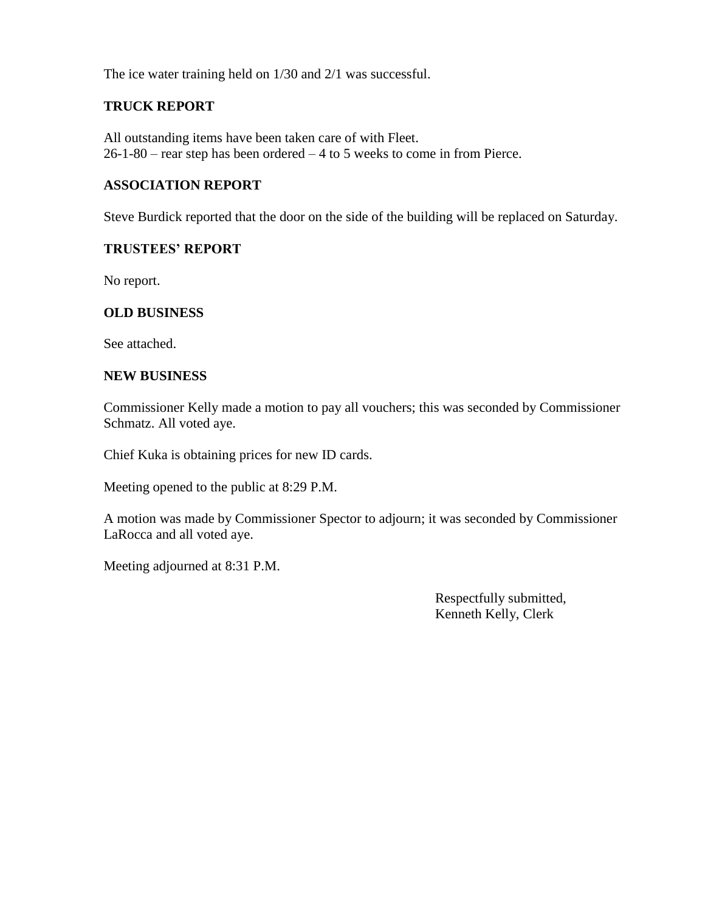The ice water training held on 1/30 and 2/1 was successful.

#### **TRUCK REPORT**

All outstanding items have been taken care of with Fleet. 26-1-80 – rear step has been ordered – 4 to 5 weeks to come in from Pierce.

## **ASSOCIATION REPORT**

Steve Burdick reported that the door on the side of the building will be replaced on Saturday.

#### **TRUSTEES' REPORT**

No report.

#### **OLD BUSINESS**

See attached.

#### **NEW BUSINESS**

Commissioner Kelly made a motion to pay all vouchers; this was seconded by Commissioner Schmatz. All voted aye.

Chief Kuka is obtaining prices for new ID cards.

Meeting opened to the public at 8:29 P.M.

A motion was made by Commissioner Spector to adjourn; it was seconded by Commissioner LaRocca and all voted aye.

Meeting adjourned at 8:31 P.M.

 Respectfully submitted, Kenneth Kelly, Clerk